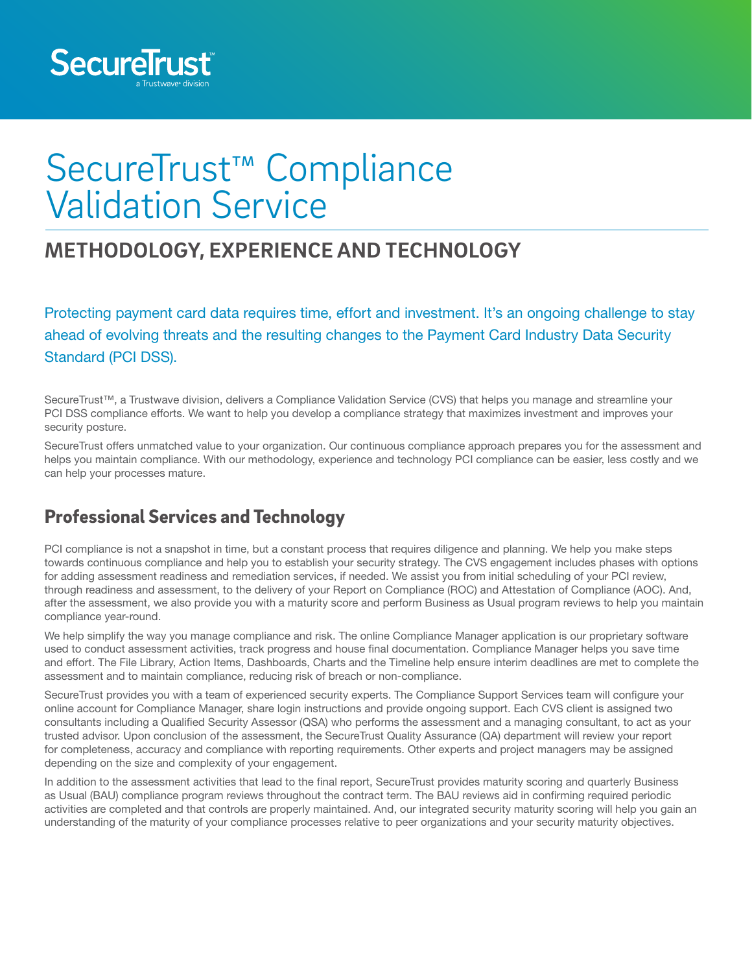

# SecureTrust™ Compliance Validation Service

# **METHODOLOGY, EXPERIENCE AND TECHNOLOGY**

Protecting payment card data requires time, effort and investment. It's an ongoing challenge to stay ahead of evolving threats and the resulting changes to the Payment Card Industry Data Security Standard (PCI DSS).

SecureTrust™, a Trustwave division, delivers a Compliance Validation Service (CVS) that helps you manage and streamline your PCI DSS compliance efforts. We want to help you develop a compliance strategy that maximizes investment and improves your security posture.

SecureTrust offers unmatched value to your organization. Our continuous compliance approach prepares you for the assessment and helps you maintain compliance. With our methodology, experience and technology PCI compliance can be easier, less costly and we can help your processes mature.

## Professional Services and Technology

PCI compliance is not a snapshot in time, but a constant process that requires diligence and planning. We help you make steps towards continuous compliance and help you to establish your security strategy. The CVS engagement includes phases with options for adding assessment readiness and remediation services, if needed. We assist you from initial scheduling of your PCI review, through readiness and assessment, to the delivery of your Report on Compliance (ROC) and Attestation of Compliance (AOC). And, after the assessment, we also provide you with a maturity score and perform Business as Usual program reviews to help you maintain compliance year-round.

We help simplify the way you manage compliance and risk. The online Compliance Manager application is our proprietary software used to conduct assessment activities, track progress and house final documentation. Compliance Manager helps you save time and effort. The File Library, Action Items, Dashboards, Charts and the Timeline help ensure interim deadlines are met to complete the assessment and to maintain compliance, reducing risk of breach or non-compliance.

SecureTrust provides you with a team of experienced security experts. The Compliance Support Services team will configure your online account for Compliance Manager, share login instructions and provide ongoing support. Each CVS client is assigned two consultants including a Qualified Security Assessor (QSA) who performs the assessment and a managing consultant, to act as your trusted advisor. Upon conclusion of the assessment, the SecureTrust Quality Assurance (QA) department will review your report for completeness, accuracy and compliance with reporting requirements. Other experts and project managers may be assigned depending on the size and complexity of your engagement.

In addition to the assessment activities that lead to the final report, SecureTrust provides maturity scoring and quarterly Business as Usual (BAU) compliance program reviews throughout the contract term. The BAU reviews aid in confirming required periodic activities are completed and that controls are properly maintained. And, our integrated security maturity scoring will help you gain an understanding of the maturity of your compliance processes relative to peer organizations and your security maturity objectives.